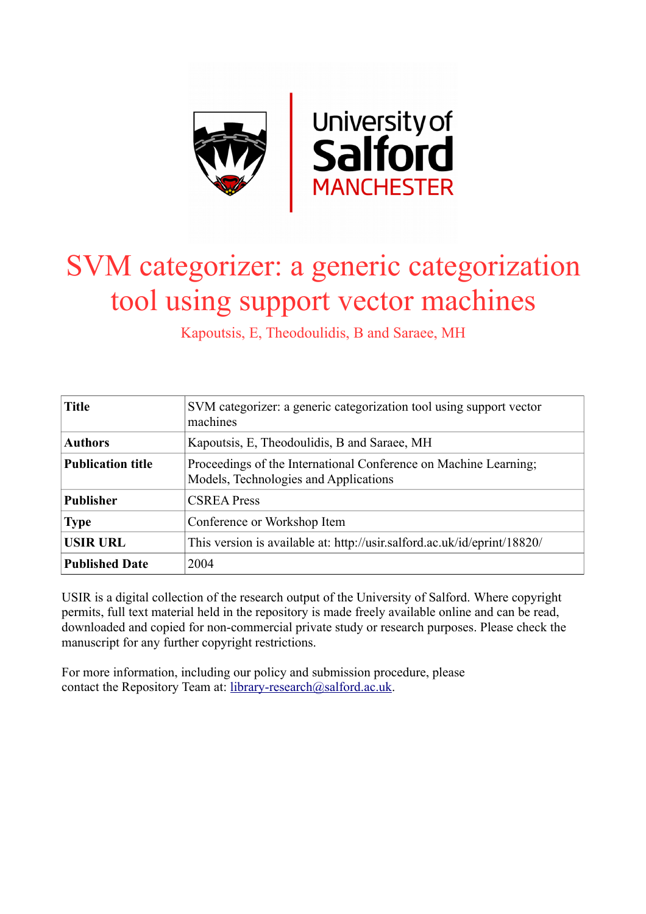

# SVM categorizer: a generic categorization tool using support vector machines

Kapoutsis, E, Theodoulidis, B and Saraee, MH

| <b>Title</b>             | SVM categorizer: a generic categorization tool using support vector<br>machines                           |  |  |  |  |  |
|--------------------------|-----------------------------------------------------------------------------------------------------------|--|--|--|--|--|
| <b>Authors</b>           | Kapoutsis, E, Theodoulidis, B and Saraee, MH                                                              |  |  |  |  |  |
| <b>Publication title</b> | Proceedings of the International Conference on Machine Learning;<br>Models, Technologies and Applications |  |  |  |  |  |
| <b>Publisher</b>         | <b>CSREA Press</b>                                                                                        |  |  |  |  |  |
| <b>Type</b>              | Conference or Workshop Item                                                                               |  |  |  |  |  |
| <b>USIR URL</b>          | This version is available at: http://usir.salford.ac.uk/id/eprint/18820/                                  |  |  |  |  |  |
| <b>Published Date</b>    | 2004                                                                                                      |  |  |  |  |  |

USIR is a digital collection of the research output of the University of Salford. Where copyright permits, full text material held in the repository is made freely available online and can be read, downloaded and copied for non-commercial private study or research purposes. Please check the manuscript for any further copyright restrictions.

For more information, including our policy and submission procedure, please contact the Repository Team at: [library-research@salford.ac.uk.](mailto:library-research@salford.ac.uk)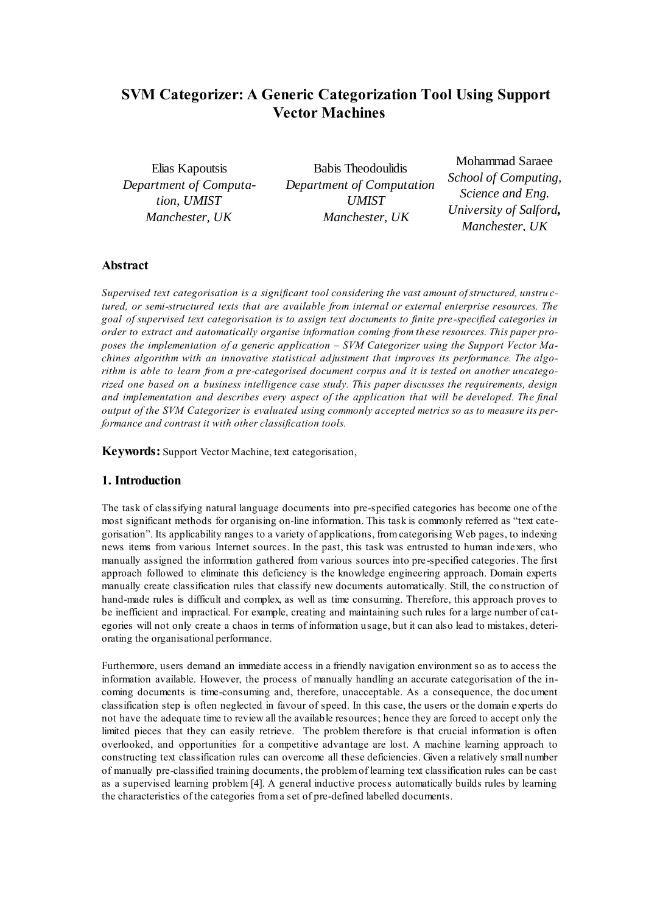## **SVM Categorizer: A Generic Categorization Tool Using Support Vector Machines**

Elias Kapoutsis *Department of Computation, UMIST Manchester, UK*

Babis Theodoulidis *Department of Computation UMIST Manchester, UK*

Mohammad Saraee *School of Computing, Science and Eng. University of Salford, Manchester, UK*

#### **Abstract**

*Supervised text categorisation is a significant tool considering the vast amount of structured, unstru ctured, or semi-structured texts that are available from internal or external enterprise resources. The goal of supervised text categorisation is to assign text documents to finite pre -specified categories in order to extract and automatically organise information coming from th ese resources. This paper proposes the implementation of a generic application – SVM Categorizer using the Support Vector Machines algorithm with an innovative statistical adjustment that improves its performance. The algorithm is able to learn from a pre-categorised document corpus and it is tested on another uncategorized one based on a business intelligence case study. This paper discusses the requirements, design and implementation and describes every aspect of the application that will be developed. The final output of the SVM Categorizer is evaluated using commonly accepted metrics so as to measure its performance and contrast it with other classification tools.*

**Keywords:** Support Vector Machine, text categorisation,

### **1. Introduction**

The task of classifying natural language documents into pre-specified categories has become one of the most significant methods for organising on-line information. This task is commonly referred as "text categorisation". Its applicability ranges to a variety of applications, from categorising Web pages, to indexing news items from various Internet sources. In the past, this task was entrusted to human inde xers, who manually assigned the information gathered from various sources into pre-specified categories. The first approach followed to eliminate this deficiency is the knowledge engineering approach. Domain experts manually create classification rules that classify new documents automatically. Still, the co nstruction of hand-made rules is difficult and complex, as well as time consuming. Therefore, this approach proves to be inefficient and impractical. For example, creating and maintaining such rules for a large number of categories will not only create a chaos in terms of information usage, but it can also lead to mistakes, deteriorating the organisational performance.

Furthermore, users demand an immediate access in a friendly navigation environment so as to access the information available. However, the process of manually handling an accurate categorisation of the incoming documents is time-consuming and, therefore, unacceptable. As a consequence, the document classification step is often neglected in favour of speed. In this case, the users or the domain experts do not have the adequate time to review all the available resources; hence they are forced to accept only the limited pieces that they can easily retrieve. The problem therefore is that crucial information is often overlooked, and opportunities for a competitive advantage are lost. A machine learning approach to constructing text classification rules can overcome all these deficiencies. Given a relatively small number of manually pre-classified training documents, the problem of learning text classification rules can be cast as a supervised learning problem [4]. A general inductive process automatically builds rules by learning the characteristics of the categories from a set of pre-defined labelled documents.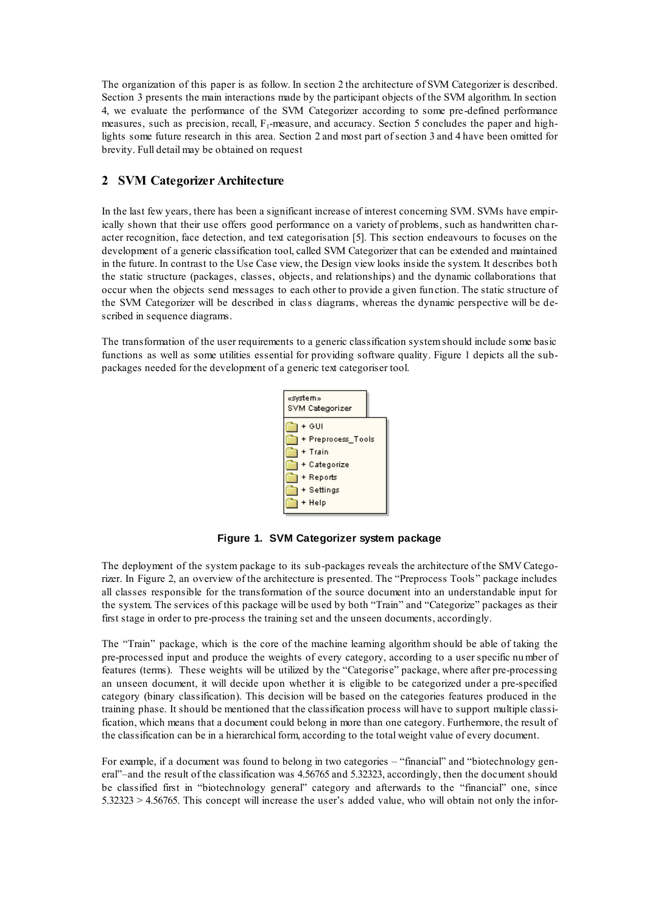The organization of this paper is as follow. In section 2 the architecture of SVM Categorizer is described. Section 3 presents the main interactions made by the participant objects of the SVM algorithm. In section 4, we evaluate the performance of the SVM Categorizer according to some pre-defined performance measures, such as precision, recall,  $F_1$ -measure, and accuracy. Section 5 concludes the paper and highlights some future research in this area. Section 2 and most part of section 3 and 4 have been omitted for brevity. Full detail may be obtained on request

## **2 SVM Categorizer Architecture**

In the last few years, there has been a significant increase of interest concerning SVM. SVMs have empirically shown that their use offers good performance on a variety of problems, such as handwritten cha racter recognition, face detection, and text categorisation [5]. This section endeavours to focuses on the development of a generic classification tool, called SVM Categorizer that can be extended and maintained in the future. In contrast to the Use Case view, the Design view looks inside the system. It describes bot h the static structure (packages, classes, objects, and relationships) and the dynamic collaborations that occur when the objects send messages to each other to provide a given fun ction. The static structure of the SVM Categorizer will be described in class diagrams, whereas the dynamic perspective will be described in sequence diagrams.

The transformation of the user requirements to a generic classification system should include some basic functions as well as some utilities essential for providing software quality. Figure 1 depicts all the subpackages needed for the development of a generic text categoriser tool.



**Figure 1. SVM Categorizer system package**

The deployment of the system package to its sub-packages reveals the architecture of the SMV Categorizer. In Figure 2, an overview of the architecture is presented. The "Preprocess Tools" package includes all classes responsible for the transformation of the source document into an understandable input for the system. The services of this package will be used by both "Train" and "Categorize" packages as their first stage in order to pre-process the training set and the unseen documents, accordingly.

The "Train" package, which is the core of the machine learning algorithm should be able of taking the pre-processed input and produce the weights of every category, according to a user specific number of features (terms). These weights will be utilized by the "Categorise" package, where after pre-processing an unseen document, it will decide upon whether it is eligible to be categorized under a pre-specified category (binary classification). This decision will be based on the categories features produced in the training phase. It should be mentioned that the classification process will have to support multiple classification, which means that a document could belong in more than one category. Furthermore, the result of the classification can be in a hierarchical form, according to the total weight value of every document.

For example, if a document was found to belong in two categories – "financial" and "biotechnology general"–and the result of the classification was 4.56765 and 5.32323, accordingly, then the document should be classified first in "biotechnology general" category and afterwards to the "financial" one, since 5.32323 > 4.56765. This concept will increase the user's added value, who will obtain not only the infor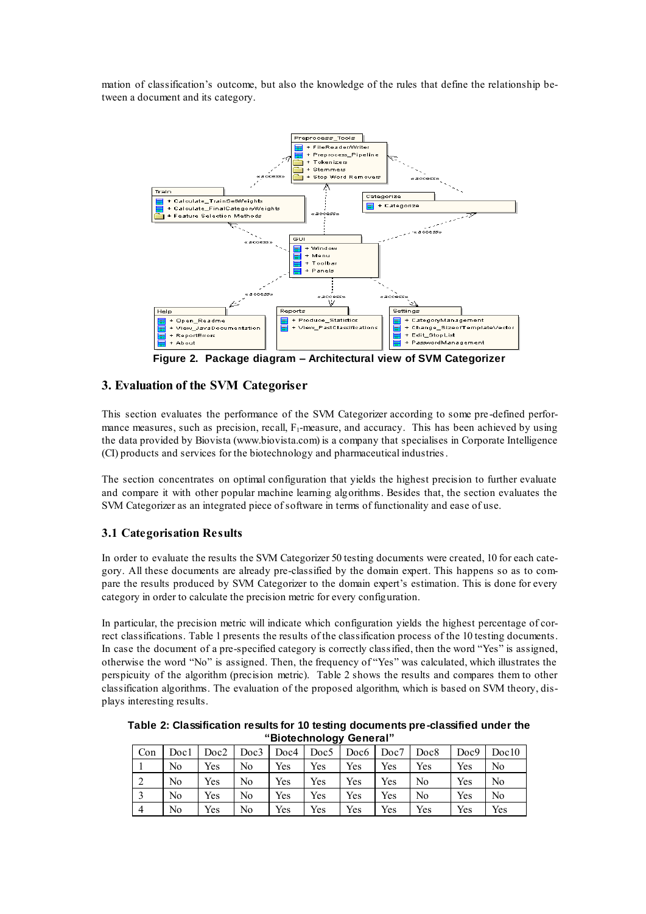mation of classification's outcome, but also the knowledge of the rules that define the relationship between a document and its category.



**Figure 2. Package diagram – Architectural view of SVM Categorizer**

## **3. Evaluation of the SVM Categoriser**

This section evaluates the performance of the SVM Categorizer according to some pre -defined performance measures, such as precision, recall,  $F_1$ -measure, and accuracy. This has been achieved by using the data provided by Biovista (www.biovista.com) is a company that specialises in Corporate Intelligence (CI) products and services for the biotechnology and pharmaceutical industries.

The section concentrates on optimal configuration that yields the highest precision to further evaluate and compare it with other popular machine learning algorithms. Besides that, the section evaluates the SVM Categorizer as an integrated piece of software in terms of functionality and ease of use.

## **3.1 Categorisation Results**

In order to evaluate the results the SVM Categorizer 50 testing documents were created, 10 for each category. All these documents are already pre-classified by the domain expert. This happens so as to compare the results produced by SVM Categorizer to the domain expert's estimation. This is done for every category in order to calculate the precision metric for every configuration.

In particular, the precision metric will indicate which configuration yields the highest percentage of correct classifications. Table 1 presents the results of the classification process of the 10 testing documents. In case the document of a pre-specified category is correctly classified, then the word "Yes" is assigned, otherwise the word "No" is assigned. Then, the frequency of "Yes" was calculated, which illustrates the perspicuity of the algorithm (precision metric). Table 2 shows the results and compares them to other classification algorithms. The evaluation of the proposed algorithm, which is based on SVM theory, displays interesting results.

**Table 2: Classification results for 10 testing documents pre-classified under the "Biotechnology General"** 

| ັ              |                |      |      |      |      |                  |      |                |      |                |
|----------------|----------------|------|------|------|------|------------------|------|----------------|------|----------------|
| Con            | Doc1           | Doc2 | Doc3 | Doc4 | Doc5 | Doc <sub>6</sub> | Doc7 | Doc8           | Doc9 | Doc10          |
|                | No             | Yes  | No   | Yes  | Yes  | Yes              | Yes  | Yes            | Yes  | No.            |
| $\bigcap$<br>∠ | N <sub>0</sub> | Yes  | No   | Yes  | Yes  | Yes              | Yes  | N <sub>0</sub> | Yes  | N <sub>0</sub> |
|                | No             | Yes  | No   | Yes  | Yes  | Yes              | Yes  | N <sub>0</sub> | Yes  | N <sub>0</sub> |
| $\overline{4}$ | No             | Yes  | No   | Yes  | Yes  | Yes              | Yes  | Yes            | Yes  | Yes            |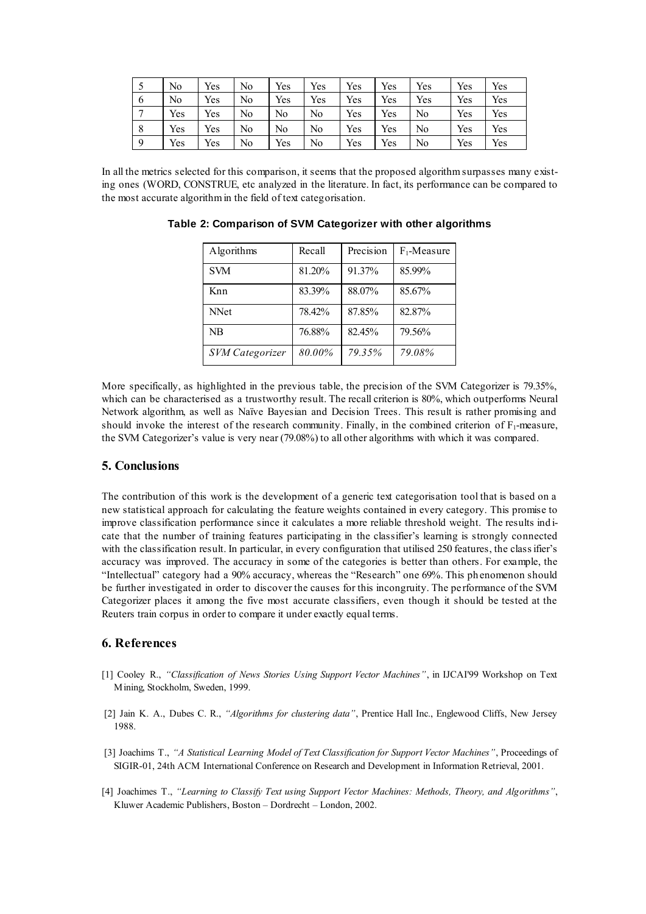|               | No  | Yes | N <sub>0</sub> | Yes            | Yes            | Yes | Yes | Yes | Yes | Yes |
|---------------|-----|-----|----------------|----------------|----------------|-----|-----|-----|-----|-----|
| $\mathfrak b$ | No  | Yes | No             | Yes            | Yes            | Yes | Yes | Yes | Yes | Yes |
| ⇁             | Yes | Yes | No             | N <sub>0</sub> | No             | Yes | Yes | No  | Yes | Yes |
| 8             | Yes | Yes | No             | No             | N <sub>0</sub> | Yes | Yes | No  | Yes | Yes |
| $\mathbf Q$   | Yes | Yes | No             | Yes            | No             | Yes | Yes | No  | Yes | Yes |

In all the metrics selected for this comparison, it seems that the proposed algorithm surpasses many existing ones (WORD, CONSTRUE, etc analyzed in the literature. In fact, its performance can be compared to the most accurate algorithm in the field of text categorisation.

| Algorithms             | Recall | Precision | $F_1$ -Measure |
|------------------------|--------|-----------|----------------|
| <b>SVM</b>             | 81.20% | 91.37%    | 85.99%         |
| Knn                    | 83.39% | 88.07%    | 85.67%         |
| <b>NNet</b>            | 78.42% | 87.85%    | 82.87%         |
| NR                     | 76.88% | 82.45%    | 79.56%         |
| <b>SVM</b> Categorizer | 80.00% | 79.35%    | 79.08%         |

**Table 2: Comparison of SVM Categorizer with other algorithms**

More specifically, as highlighted in the previous table, the precision of the SVM Categorizer is 79.35%, which can be characterised as a trustworthy result. The recall criterion is 80%, which outperforms Neural Network algorithm, as well as Naïve Bayesian and Decision Trees. This result is rather promising and should invoke the interest of the research community. Finally, in the combined criterion of  $F_1$ -measure, the SVM Categorizer's value is very near (79.08%) to all other algorithms with which it was compared.

#### **5. Conclusions**

The contribution of this work is the development of a generic text categorisation tool that is based on a new statistical approach for calculating the feature weights contained in every category. This promise to improve classification performance since it calculates a more reliable threshold weight. The results ind icate that the number of training features participating in the classifier's learning is strongly connected with the classification result. In particular, in every configuration that utilised 250 features, the class ifier's accuracy was improved. The accuracy in some of the categories is better than others. For example, the "Intellectual" category had a 90% accuracy, whereas the "Research" one 69%. This ph enomenon should be further investigated in order to discover the causes for this incongruity. The pe rformance of the SVM Categorizer places it among the five most accurate classifiers, even though it should be tested at the Reuters train corpus in order to compare it under exactly equal terms.

#### **6. References**

- [1] Cooley R., *"Classification of News Stories Using Support Vector Machines"*, in IJCAI'99 Workshop on Text Mining, Stockholm, Sweden, 1999.
- [2] Jain K. A., Dubes C. R., *"Algorithms for clustering data"*, Prentice Hall Inc., Englewood Cliffs, New Jersey 1988.
- [3] Joachims T., *"A Statistical Learning Model of Text Classification for Support Vector Machines"*, Proceedings of SIGIR-01, 24th ACM International Conference on Research and Development in Information Retrieval, 2001.
- [4] Joachimes T., *"Learning to Classify Text using Support Vector Machines: Methods, Theory, and Algorithms"*, Kluwer Academic Publishers, Boston – Dordrecht – London, 2002.